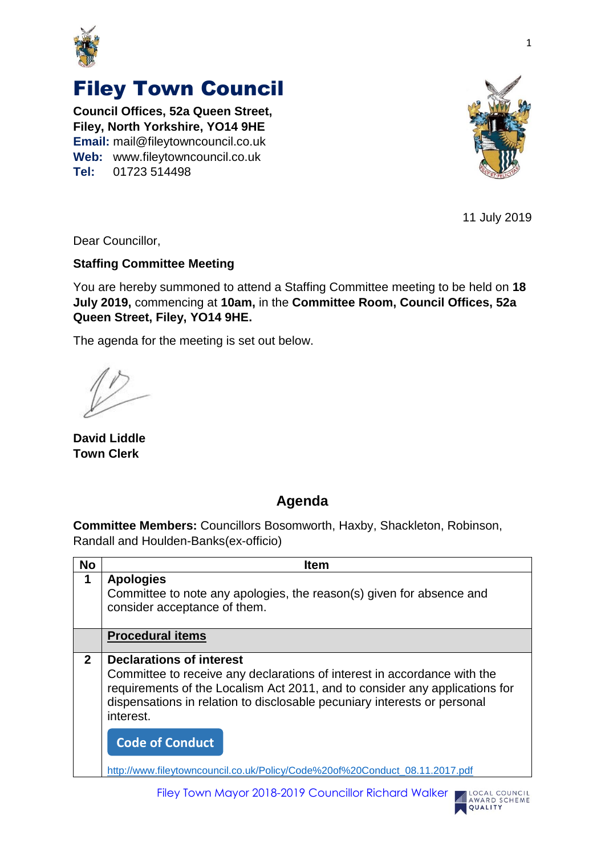

## Filey Town Council

**Council Offices, 52a Queen Street, Filey, North Yorkshire, YO14 9HE Email:** mail@fileytowncouncil.co.uk **Web:** www.fileytowncouncil.co.uk **Tel:** 01723 514498



11 July 2019

LOCAL COUNCIL AWARD SCHEME QUALITY

Dear Councillor,

## **Staffing Committee Meeting**

You are hereby summoned to attend a Staffing Committee meeting to be held on **18 July 2019,** commencing at **10am,** in the **Committee Room, Council Offices, 52a Queen Street, Filey, YO14 9HE.**

The agenda for the meeting is set out below.

**David Liddle Town Clerk**

## **Agenda**

**Committee Members:** Councillors Bosomworth, Haxby, Shackleton, Robinson, Randall and Houlden-Banks(ex-officio)

| <b>No</b>    | <b>Item</b>                                                                                                                                                                                                                                                                         |
|--------------|-------------------------------------------------------------------------------------------------------------------------------------------------------------------------------------------------------------------------------------------------------------------------------------|
| 1            | <b>Apologies</b><br>Committee to note any apologies, the reason(s) given for absence and<br>consider acceptance of them.                                                                                                                                                            |
|              | <b>Procedural items</b>                                                                                                                                                                                                                                                             |
| $\mathbf{2}$ | <b>Declarations of interest</b><br>Committee to receive any declarations of interest in accordance with the<br>requirements of the Localism Act 2011, and to consider any applications for<br>dispensations in relation to disclosable pecuniary interests or personal<br>interest. |
|              | <b>Code of Conduct</b>                                                                                                                                                                                                                                                              |
|              | http://www.fileytowncouncil.co.uk/Policy/Code%20of%20Conduct_08.11.2017.pdf                                                                                                                                                                                                         |

Filey Town Mayor 2018-2019 Councillor Richard Walker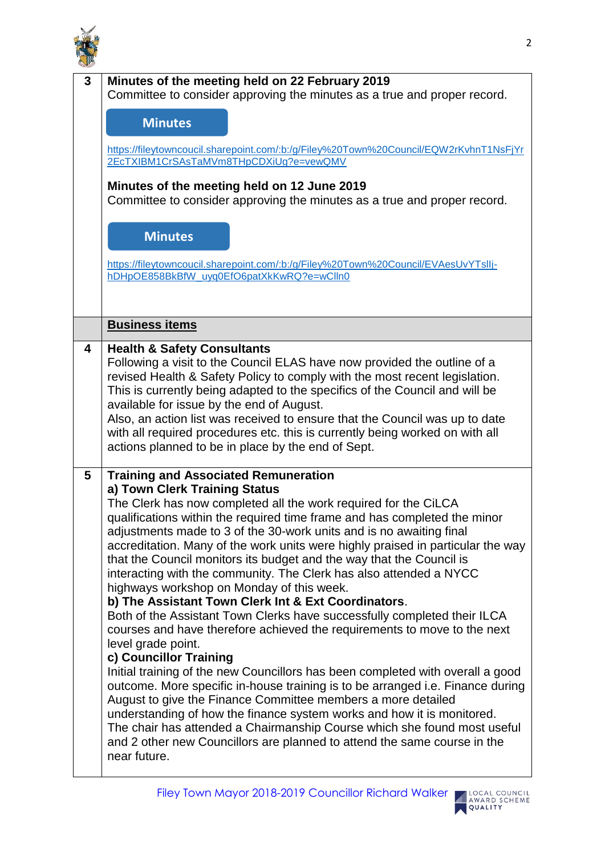

| 3 | Minutes of the meeting held on 22 February 2019                                                                                                           |
|---|-----------------------------------------------------------------------------------------------------------------------------------------------------------|
|   | Committee to consider approving the minutes as a true and proper record.                                                                                  |
|   |                                                                                                                                                           |
|   | <b>Minutes</b>                                                                                                                                            |
|   | https://fileytowncoucil.sharepoint.com/:b:/g/Filey%20Town%20Council/EQW2rKvhnT1NsFjYr                                                                     |
|   | 2EcTXIBM1CrSAsTaMVm8THpCDXiUg?e=vewQMV                                                                                                                    |
|   |                                                                                                                                                           |
|   | Minutes of the meeting held on 12 June 2019                                                                                                               |
|   | Committee to consider approving the minutes as a true and proper record.                                                                                  |
|   |                                                                                                                                                           |
|   | <b>Minutes</b>                                                                                                                                            |
|   |                                                                                                                                                           |
|   | https://fileytowncoucil.sharepoint.com/:b:/g/Filey%20Town%20Council/EVAesUvYTslIj-                                                                        |
|   | hDHpOE858BkBfW_uyq0EfO6patXkKwRQ?e=wClln0                                                                                                                 |
|   |                                                                                                                                                           |
|   |                                                                                                                                                           |
|   | <b>Business items</b>                                                                                                                                     |
|   |                                                                                                                                                           |
| 4 | <b>Health &amp; Safety Consultants</b>                                                                                                                    |
|   | Following a visit to the Council ELAS have now provided the outline of a                                                                                  |
|   | revised Health & Safety Policy to comply with the most recent legislation.<br>This is currently being adapted to the specifics of the Council and will be |
|   | available for issue by the end of August.                                                                                                                 |
|   | Also, an action list was received to ensure that the Council was up to date                                                                               |
|   | with all required procedures etc. this is currently being worked on with all                                                                              |
|   | actions planned to be in place by the end of Sept.                                                                                                        |
|   |                                                                                                                                                           |
| 5 | <b>Training and Associated Remuneration</b>                                                                                                               |
|   | a) Town Clerk Training Status                                                                                                                             |
|   | The Clerk has now completed all the work required for the CiLCA                                                                                           |
|   | qualifications within the required time frame and has completed the minor                                                                                 |
|   | adjustments made to 3 of the 30-work units and is no awaiting final                                                                                       |
|   | accreditation. Many of the work units were highly praised in particular the way                                                                           |
|   | that the Council monitors its budget and the way that the Council is                                                                                      |
|   | interacting with the community. The Clerk has also attended a NYCC                                                                                        |
|   | highways workshop on Monday of this week.                                                                                                                 |
|   | b) The Assistant Town Clerk Int & Ext Coordinators.                                                                                                       |
|   | Both of the Assistant Town Clerks have successfully completed their ILCA                                                                                  |
|   | courses and have therefore achieved the requirements to move to the next                                                                                  |
|   | level grade point.                                                                                                                                        |
|   | c) Councillor Training                                                                                                                                    |
|   | Initial training of the new Councillors has been completed with overall a good                                                                            |
|   | outcome. More specific in-house training is to be arranged i.e. Finance during                                                                            |
|   | August to give the Finance Committee members a more detailed                                                                                              |
|   | understanding of how the finance system works and how it is monitored.                                                                                    |
|   | The chair has attended a Chairmanship Course which she found most useful                                                                                  |
|   | and 2 other new Councillors are planned to attend the same course in the                                                                                  |
|   | near future.                                                                                                                                              |
|   |                                                                                                                                                           |